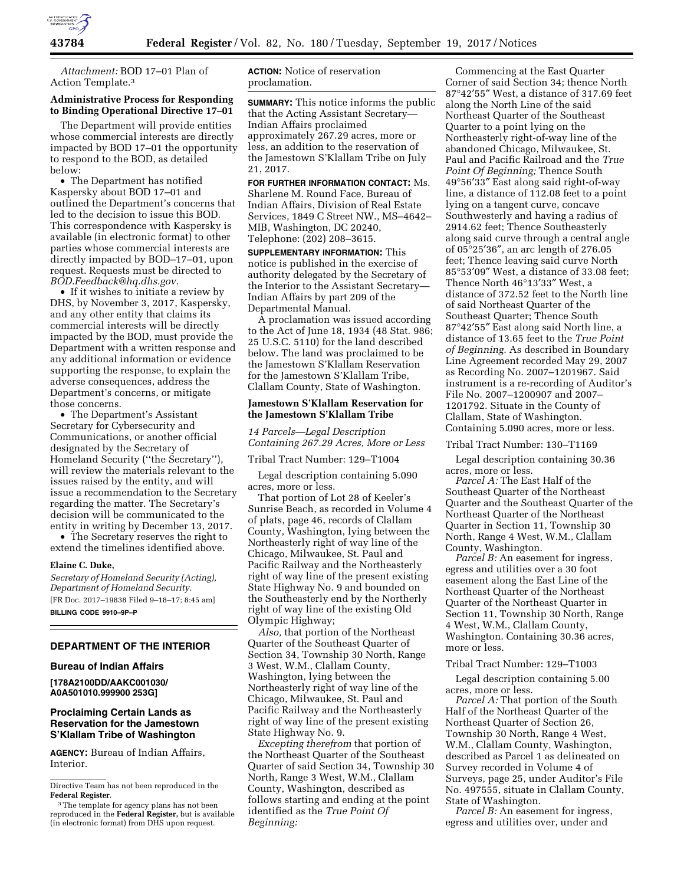

*Attachment:* BOD 17–01 Plan of Action Template.3

# **Administrative Process for Responding to Binding Operational Directive 17–01**

The Department will provide entities whose commercial interests are directly impacted by BOD 17–01 the opportunity to respond to the BOD, as detailed below:

• The Department has notified Kaspersky about BOD 17–01 and outlined the Department's concerns that led to the decision to issue this BOD. This correspondence with Kaspersky is available (in electronic format) to other parties whose commercial interests are directly impacted by BOD–17–01, upon request. Requests must be directed to *[BOD.Feedback@hq.dhs.gov.](mailto:BOD.Feedback@hq.dhs.gov)* 

• If it wishes to initiate a review by DHS, by November 3, 2017, Kaspersky, and any other entity that claims its commercial interests will be directly impacted by the BOD, must provide the Department with a written response and any additional information or evidence supporting the response, to explain the adverse consequences, address the Department's concerns, or mitigate those concerns.

• The Department's Assistant Secretary for Cybersecurity and Communications, or another official designated by the Secretary of Homeland Security (''the Secretary''), will review the materials relevant to the issues raised by the entity, and will issue a recommendation to the Secretary regarding the matter. The Secretary's decision will be communicated to the entity in writing by December 13, 2017.

• The Secretary reserves the right to extend the timelines identified above.

#### **Elaine C. Duke,**

*Secretary of Homeland Security (Acting), Department of Homeland Security.*  [FR Doc. 2017–19838 Filed 9–18–17; 8:45 am] **BILLING CODE 9910–9P–P** 

# **DEPARTMENT OF THE INTERIOR**

#### **Bureau of Indian Affairs**

**[178A2100DD/AAKC001030/ A0A501010.999900 253G]** 

# **Proclaiming Certain Lands as Reservation for the Jamestown S'Klallam Tribe of Washington**

**AGENCY:** Bureau of Indian Affairs, Interior.

**ACTION:** Notice of reservation proclamation.

**SUMMARY:** This notice informs the public that the Acting Assistant Secretary— Indian Affairs proclaimed approximately 267.29 acres, more or less, an addition to the reservation of the Jamestown S'Klallam Tribe on July 21, 2017.

**FOR FURTHER INFORMATION CONTACT:** Ms. Sharlene M. Round Face, Bureau of Indian Affairs, Division of Real Estate Services, 1849 C Street NW., MS–4642– MIB, Washington, DC 20240, Telephone: (202) 208–3615.

**SUPPLEMENTARY INFORMATION:** This notice is published in the exercise of authority delegated by the Secretary of the Interior to the Assistant Secretary— Indian Affairs by part 209 of the Departmental Manual.

A proclamation was issued according to the Act of June 18, 1934 (48 Stat. 986; 25 U.S.C. 5110) for the land described below. The land was proclaimed to be the Jamestown S'Klallam Reservation for the Jamestown S'Klallam Tribe, Clallam County, State of Washington.

# **Jamestown S'Klallam Reservation for the Jamestown S'Klallam Tribe**

*14 Parcels—Legal Description Containing 267.29 Acres, More or Less* 

Tribal Tract Number: 129–T1004

Legal description containing 5.090 acres, more or less.

That portion of Lot 28 of Keeler's Sunrise Beach, as recorded in Volume 4 of plats, page 46, records of Clallam County, Washington, lying between the Northeasterly right of way line of the Chicago, Milwaukee, St. Paul and Pacific Railway and the Northeasterly right of way line of the present existing State Highway No. 9 and bounded on the Southeasterly end by the Northerly right of way line of the existing Old Olympic Highway;

*Also,* that portion of the Northeast Quarter of the Southeast Quarter of Section 34, Township 30 North, Range 3 West, W.M., Clallam County, Washington, lying between the Northeasterly right of way line of the Chicago, Milwaukee, St. Paul and Pacific Railway and the Northeasterly right of way line of the present existing State Highway No. 9.

*Excepting therefrom* that portion of the Northeast Quarter of the Southeast Quarter of said Section 34, Township 30 North, Range 3 West, W.M., Clallam County, Washington, described as follows starting and ending at the point identified as the *True Point Of Beginning:* 

Commencing at the East Quarter Corner of said Section 34; thence North 87°42′55″ West, a distance of 317.69 feet along the North Line of the said Northeast Quarter of the Southeast Quarter to a point lying on the Northeasterly right-of-way line of the abandoned Chicago, Milwaukee, St. Paul and Pacific Railroad and the *True Point Of Beginning;* Thence South 49°56′33″ East along said right-of-way line, a distance of 112.08 feet to a point lying on a tangent curve, concave Southwesterly and having a radius of 2914.62 feet; Thence Southeasterly along said curve through a central angle of 05°25′36″, an arc length of 276.05 feet; Thence leaving said curve North 85°53′09″ West, a distance of 33.08 feet; Thence North 46°13′33″ West, a distance of 372.52 feet to the North line of said Northeast Quarter of the Southeast Quarter; Thence South 87°42′55″ East along said North line, a distance of 13.65 feet to the *True Point of Beginning.* As described in Boundary Line Agreement recorded May 29, 2007 as Recording No. 2007–1201967. Said instrument is a re-recording of Auditor's File No. 2007–1200907 and 2007– 1201792. Situate in the County of Clallam, State of Washington. Containing 5.090 acres, more or less.

Tribal Tract Number: 130–T1169

Legal description containing 30.36 acres, more or less.

*Parcel A:* The East Half of the Southeast Quarter of the Northeast Quarter and the Southeast Quarter of the Northeast Quarter of the Northeast Quarter in Section 11, Township 30 North, Range 4 West, W.M., Clallam County, Washington.

*Parcel B:* An easement for ingress, egress and utilities over a 30 foot easement along the East Line of the Northeast Quarter of the Northeast Quarter of the Northeast Quarter in Section 11, Township 30 North, Range 4 West, W.M., Clallam County, Washington. Containing 30.36 acres, more or less.

Tribal Tract Number: 129–T1003

Legal description containing 5.00 acres, more or less.

*Parcel A:* That portion of the South Half of the Northeast Quarter of the Northeast Quarter of Section 26, Township 30 North, Range 4 West, W.M., Clallam County, Washington, described as Parcel 1 as delineated on Survey recorded in Volume 4 of Surveys, page 25, under Auditor's File No. 497555, situate in Clallam County, State of Washington.

*Parcel B:* An easement for ingress, egress and utilities over, under and

Directive Team has not been reproduced in the **Federal Register**.

<sup>&</sup>lt;sup>3</sup>The template for agency plans has not been reproduced in the **Federal Register,** but is available (in electronic format) from DHS upon request.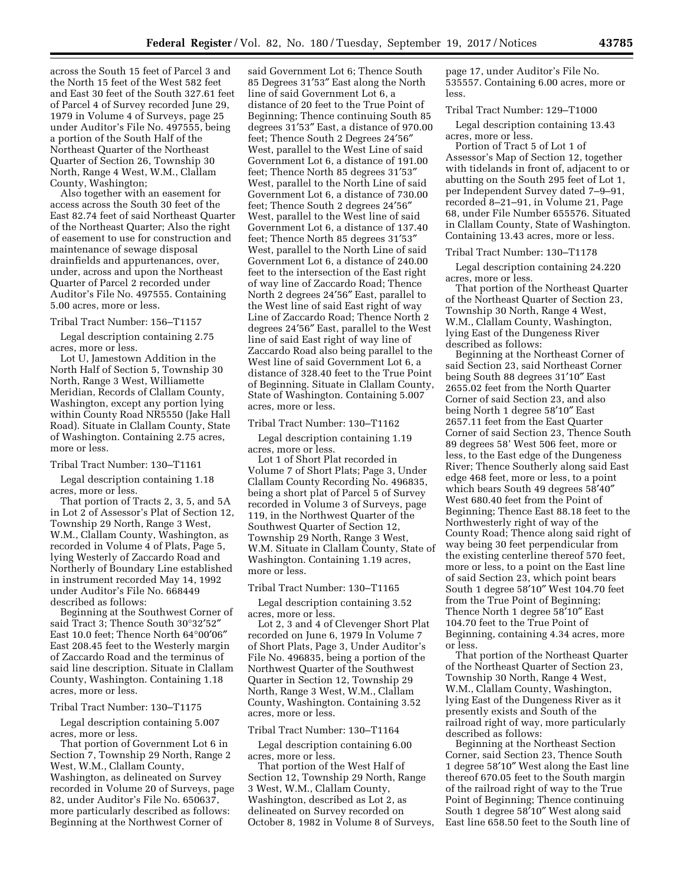across the South 15 feet of Parcel 3 and the North 15 feet of the West 582 feet and East 30 feet of the South 327.61 feet of Parcel 4 of Survey recorded June 29, 1979 in Volume 4 of Surveys, page 25 under Auditor's File No. 497555, being a portion of the South Half of the Northeast Quarter of the Northeast Quarter of Section 26, Township 30 North, Range 4 West, W.M., Clallam County, Washington;

Also together with an easement for access across the South 30 feet of the East 82.74 feet of said Northeast Quarter of the Northeast Quarter; Also the right of easement to use for construction and maintenance of sewage disposal drainfields and appurtenances, over, under, across and upon the Northeast Quarter of Parcel 2 recorded under Auditor's File No. 497555. Containing 5.00 acres, more or less.

#### Tribal Tract Number: 156–T1157

Legal description containing 2.75 acres, more or less.

Lot U, Jamestown Addition in the North Half of Section 5, Township 30 North, Range 3 West, Williamette Meridian, Records of Clallam County, Washington, except any portion lying within County Road NR5550 (Jake Hall Road). Situate in Clallam County, State of Washington. Containing 2.75 acres, more or less.

#### Tribal Tract Number: 130–T1161

Legal description containing 1.18 acres, more or less.

That portion of Tracts 2, 3, 5, and 5A in Lot 2 of Assessor's Plat of Section 12, Township 29 North, Range 3 West, W.M., Clallam County, Washington, as recorded in Volume 4 of Plats, Page 5, lying Westerly of Zaccardo Road and Northerly of Boundary Line established in instrument recorded May 14, 1992 under Auditor's File No. 668449 described as follows:

Beginning at the Southwest Corner of said Tract 3; Thence South 30°32′52″ East 10.0 feet; Thence North 64°00′06″ East 208.45 feet to the Westerly margin of Zaccardo Road and the terminus of said line description. Situate in Clallam County, Washington. Containing 1.18 acres, more or less.

## Tribal Tract Number: 130–T1175

Legal description containing 5.007 acres, more or less.

That portion of Government Lot 6 in Section 7, Township 29 North, Range 2 West, W.M., Clallam County, Washington, as delineated on Survey recorded in Volume 20 of Surveys, page 82, under Auditor's File No. 650637, more particularly described as follows: Beginning at the Northwest Corner of

said Government Lot 6; Thence South 85 Degrees 31′53″ East along the North line of said Government Lot 6, a distance of 20 feet to the True Point of Beginning; Thence continuing South 85 degrees 31′53″ East, a distance of 970.00 feet; Thence South 2 Degrees 24′56″ West, parallel to the West Line of said Government Lot 6, a distance of 191.00 feet; Thence North 85 degrees 31′53″ West, parallel to the North Line of said Government Lot 6, a distance of 730.00 feet; Thence South 2 degrees 24′56″ West, parallel to the West line of said Government Lot 6, a distance of 137.40 feet; Thence North 85 degrees 31′53″ West, parallel to the North Line of said Government Lot 6, a distance of 240.00 feet to the intersection of the East right of way line of Zaccardo Road; Thence North 2 degrees 24′56″ East, parallel to the West line of said East right of way Line of Zaccardo Road; Thence North 2 degrees 24′56″ East, parallel to the West line of said East right of way line of Zaccardo Road also being parallel to the West line of said Government Lot 6, a distance of 328.40 feet to the True Point of Beginning. Situate in Clallam County, State of Washington. Containing 5.007 acres, more or less.

#### Tribal Tract Number: 130–T1162

Legal description containing 1.19 acres, more or less.

Lot 1 of Short Plat recorded in Volume 7 of Short Plats; Page 3, Under Clallam County Recording No. 496835, being a short plat of Parcel 5 of Survey recorded in Volume 3 of Surveys, page 119, in the Northwest Quarter of the Southwest Quarter of Section 12, Township 29 North, Range 3 West, W.M. Situate in Clallam County, State of Washington. Containing 1.19 acres, more or less.

## Tribal Tract Number: 130–T1165

Legal description containing 3.52 acres, more or less.

Lot 2, 3 and 4 of Clevenger Short Plat recorded on June 6, 1979 In Volume 7 of Short Plats, Page 3, Under Auditor's File No. 496835, being a portion of the Northwest Quarter of the Southwest Quarter in Section 12, Township 29 North, Range 3 West, W.M., Clallam County, Washington. Containing 3.52 acres, more or less.

#### Tribal Tract Number: 130–T1164

Legal description containing 6.00 acres, more or less.

That portion of the West Half of Section 12, Township 29 North, Range 3 West, W.M., Clallam County, Washington, described as Lot 2, as delineated on Survey recorded on October 8, 1982 in Volume 8 of Surveys, page 17, under Auditor's File No. 535557. Containing 6.00 acres, more or less.

### Tribal Tract Number: 129–T1000

Legal description containing 13.43 acres, more or less.

Portion of Tract 5 of Lot 1 of Assessor's Map of Section 12, together with tidelands in front of, adjacent to or abutting on the South 295 feet of Lot 1, per Independent Survey dated 7–9–91, recorded 8–21–91, in Volume 21, Page 68, under File Number 655576. Situated in Clallam County, State of Washington. Containing 13.43 acres, more or less.

## Tribal Tract Number: 130–T1178

Legal description containing 24.220 acres, more or less.

That portion of the Northeast Quarter of the Northeast Quarter of Section 23, Township 30 North, Range 4 West, W.M., Clallam County, Washington, lying East of the Dungeness River described as follows:

Beginning at the Northeast Corner of said Section 23, said Northeast Corner being South 88 degrees 31′10″ East 2655.02 feet from the North Quarter Corner of said Section 23, and also being North 1 degree 58′10″ East 2657.11 feet from the East Quarter Corner of said Section 23, Thence South 89 degrees 58' West 506 feet, more or less, to the East edge of the Dungeness River; Thence Southerly along said East edge 468 feet, more or less, to a point which bears South 49 degrees 58′40″ West 680.40 feet from the Point of Beginning; Thence East 88.18 feet to the Northwesterly right of way of the County Road; Thence along said right of way being 30 feet perpendicular from the existing centerline thereof 570 feet, more or less, to a point on the East line of said Section 23, which point bears South 1 degree 58′10″ West 104.70 feet from the True Point of Beginning; Thence North 1 degree 58′10″ East 104.70 feet to the True Point of Beginning, containing 4.34 acres, more or less.

That portion of the Northeast Quarter of the Northeast Quarter of Section 23, Township 30 North, Range 4 West, W.M., Clallam County, Washington, lying East of the Dungeness River as it presently exists and South of the railroad right of way, more particularly described as follows:

Beginning at the Northeast Section Corner, said Section 23, Thence South 1 degree 58′10″ West along the East line thereof 670.05 feet to the South margin of the railroad right of way to the True Point of Beginning; Thence continuing South 1 degree 58′10″ West along said East line 658.50 feet to the South line of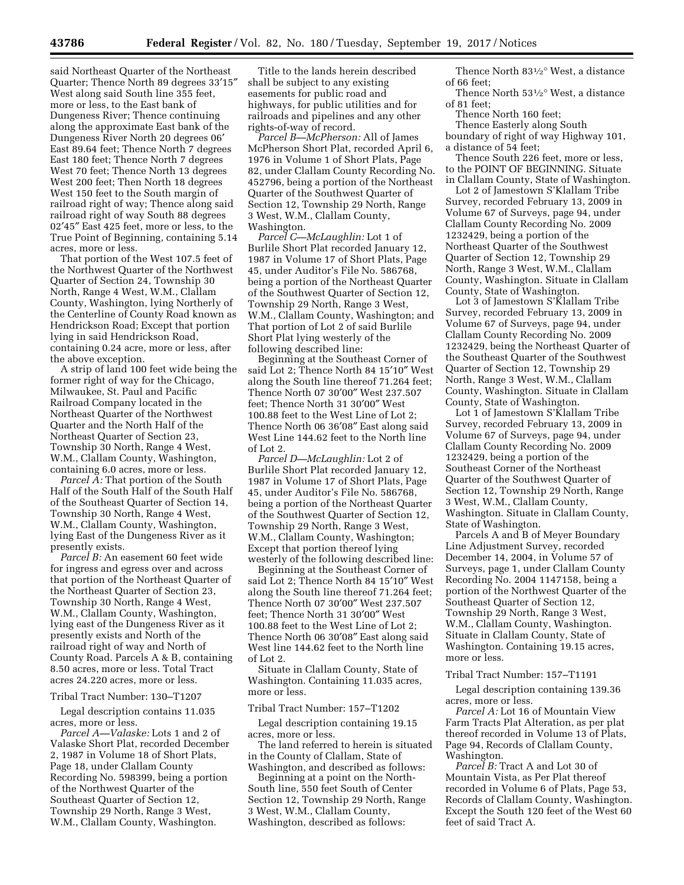said Northeast Quarter of the Northeast Quarter; Thence North 89 degrees 33′15″ West along said South line 355 feet, more or less, to the East bank of Dungeness River; Thence continuing along the approximate East bank of the Dungeness River North 20 degrees 06′ East 89.64 feet; Thence North 7 degrees East 180 feet; Thence North 7 degrees West 70 feet; Thence North 13 degrees West 200 feet; Then North 18 degrees West 150 feet to the South margin of railroad right of way; Thence along said railroad right of way South 88 degrees 02′45″ East 425 feet, more or less, to the True Point of Beginning, containing 5.14 acres, more or less.

That portion of the West 107.5 feet of the Northwest Quarter of the Northwest Quarter of Section 24, Township 30 North, Range 4 West, W.M., Clallam County, Washington, lying Northerly of the Centerline of County Road known as Hendrickson Road; Except that portion lying in said Hendrickson Road, containing 0.24 acre, more or less, after the above exception.

A strip of land 100 feet wide being the former right of way for the Chicago, Milwaukee, St. Paul and Pacific Railroad Company located in the Northeast Quarter of the Northwest Quarter and the North Half of the Northeast Quarter of Section 23, Township 30 North, Range 4 West, W.M., Clallam County, Washington, containing 6.0 acres, more or less.

*Parcel A:* That portion of the South Half of the South Half of the South Half of the Southeast Quarter of Section 14, Township 30 North, Range 4 West, W.M., Clallam County, Washington, lying East of the Dungeness River as it presently exists.

*Parcel B:* An easement 60 feet wide for ingress and egress over and across that portion of the Northeast Quarter of the Northeast Quarter of Section 23, Township 30 North, Range 4 West, W.M., Clallam County, Washington, lying east of the Dungeness River as it presently exists and North of the railroad right of way and North of County Road. Parcels A & B, containing 8.50 acres, more or less. Total Tract acres 24.220 acres, more or less.

#### Tribal Tract Number: 130–T1207

Legal description contains 11.035 acres, more or less.

*Parcel A—Valaske:* Lots 1 and 2 of Valaske Short Plat, recorded December 2, 1987 in Volume 18 of Short Plats, Page 18, under Clallam County Recording No. 598399, being a portion of the Northwest Quarter of the Southeast Quarter of Section 12, Township 29 North, Range 3 West, W.M., Clallam County, Washington.

Title to the lands herein described shall be subject to any existing easements for public road and highways, for public utilities and for railroads and pipelines and any other rights-of-way of record.

*Parcel B—McPherson:* All of James McPherson Short Plat, recorded April 6, 1976 in Volume 1 of Short Plats, Page 82, under Clallam County Recording No. 452796, being a portion of the Northeast Quarter of the Southwest Quarter of Section 12, Township 29 North, Range 3 West, W.M., Clallam County, Washington.

*Parcel C—McLaughlin:* Lot 1 of Burlile Short Plat recorded January 12, 1987 in Volume 17 of Short Plats, Page 45, under Auditor's File No. 586768, being a portion of the Northeast Quarter of the Southwest Quarter of Section 12, Township 29 North, Range 3 West, W.M., Clallam County, Washington; and That portion of Lot 2 of said Burlile Short Plat lying westerly of the following described line:

Beginning at the Southeast Corner of said Lot 2; Thence North 84 15′10″ West along the South line thereof 71.264 feet; Thence North 07 30′00″ West 237.507 feet; Thence North 31 30′00″ West 100.88 feet to the West Line of Lot 2; Thence North 06 36′08″ East along said West Line 144.62 feet to the North line of Lot 2.

*Parcel D—McLaughlin:* Lot 2 of Burlile Short Plat recorded January 12, 1987 in Volume 17 of Short Plats, Page 45, under Auditor's File No. 586768, being a portion of the Northeast Quarter of the Southwest Quarter of Section 12, Township 29 North, Range 3 West, W.M., Clallam County, Washington; Except that portion thereof lying westerly of the following described line:

Beginning at the Southeast Corner of said Lot 2; Thence North 84 15′10″ West along the South line thereof 71.264 feet; Thence North 07 30′00″ West 237.507 feet; Thence North 31 30′00″ West 100.88 feet to the West Line of Lot 2; Thence North 06 30′08″ East along said West line 144.62 feet to the North line of Lot 2.

Situate in Clallam County, State of Washington. Containing 11.035 acres, more or less.

## Tribal Tract Number: 157–T1202

Legal description containing 19.15 acres, more or less.

The land referred to herein is situated in the County of Clallam, State of Washington, and described as follows:

Beginning at a point on the North-South line, 550 feet South of Center Section 12, Township 29 North, Range 3 West, W.M., Clallam County, Washington, described as follows:

Thence North 831⁄2° West, a distance of 66 feet;

Thence North 531⁄2° West, a distance of 81 feet;

Thence North 160 feet;

Thence Easterly along South

boundary of right of way Highway 101, a distance of 54 feet;

Thence South 226 feet, more or less, to the POINT OF BEGINNING. Situate in Clallam County, State of Washington.

Lot 2 of Jamestown S'Klallam Tribe Survey, recorded February 13, 2009 in Volume 67 of Surveys, page 94, under Clallam County Recording No. 2009 1232429, being a portion of the Northeast Quarter of the Southwest Quarter of Section 12, Township 29 North, Range 3 West, W.M., Clallam County, Washington. Situate in Clallam County, State of Washington.

Lot 3 of Jamestown S'Klallam Tribe Survey, recorded February 13, 2009 in Volume 67 of Surveys, page 94, under Clallam County Recording No. 2009 1232429, being the Northeast Quarter of the Southeast Quarter of the Southwest Quarter of Section 12, Township 29 North, Range 3 West, W.M., Clallam County, Washington. Situate in Clallam County, State of Washington.

Lot 1 of Jamestown S'Klallam Tribe Survey, recorded February 13, 2009 in Volume 67 of Surveys, page 94, under Clallam County Recording No. 2009 1232429, being a portion of the Southeast Corner of the Northeast Quarter of the Southwest Quarter of Section 12, Township 29 North, Range 3 West, W.M., Clallam County, Washington. Situate in Clallam County, State of Washington.

Parcels A and B of Meyer Boundary Line Adjustment Survey, recorded December 14, 2004, in Volume 57 of Surveys, page 1, under Clallam County Recording No. 2004 1147158, being a portion of the Northwest Quarter of the Southeast Quarter of Section 12, Township 29 North, Range 3 West, W.M., Clallam County, Washington. Situate in Clallam County, State of Washington. Containing 19.15 acres, more or less.

## Tribal Tract Number: 157–T1191

Legal description containing 139.36 acres, more or less.

*Parcel A:* Lot 16 of Mountain View Farm Tracts Plat Alteration, as per plat thereof recorded in Volume 13 of Plats, Page 94, Records of Clallam County, Washington.

*Parcel B:* Tract A and Lot 30 of Mountain Vista, as Per Plat thereof recorded in Volume 6 of Plats, Page 53, Records of Clallam County, Washington. Except the South 120 feet of the West 60 feet of said Tract A.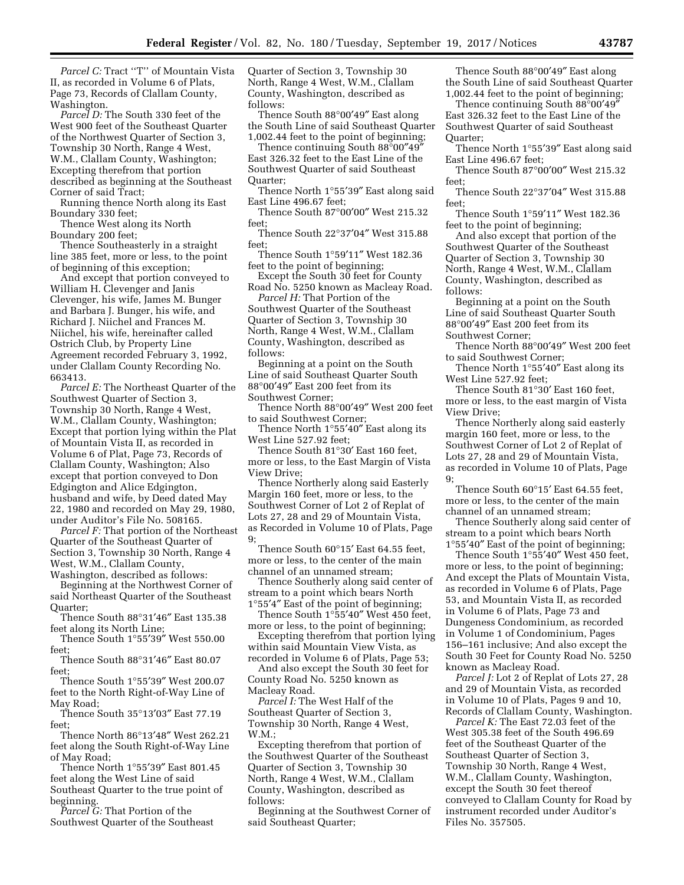Parcel C: Tract "T" of Mountain Vista II, as recorded in Volume 6 of Plats, Page 73, Records of Clallam County, Washington.

*Parcel D:* The South 330 feet of the West 900 feet of the Southeast Quarter of the Northwest Quarter of Section 3, Township 30 North, Range 4 West, W.M., Clallam County, Washington; Excepting therefrom that portion described as beginning at the Southeast Corner of said Tract;

Running thence North along its East Boundary 330 feet;

Thence West along its North Boundary 200 feet;

Thence Southeasterly in a straight line 385 feet, more or less, to the point of beginning of this exception;

And except that portion conveyed to William H. Clevenger and Janis Clevenger, his wife, James M. Bunger and Barbara J. Bunger, his wife, and Richard J. Niichel and Frances M. Niichel, his wife, hereinafter called Ostrich Club, by Property Line Agreement recorded February 3, 1992, under Clallam County Recording No. 663413.

*Parcel E:* The Northeast Quarter of the Southwest Quarter of Section 3, Township 30 North, Range 4 West, W.M., Clallam County, Washington; Except that portion lying within the Plat of Mountain Vista II, as recorded in Volume 6 of Plat, Page 73, Records of Clallam County, Washington; Also except that portion conveyed to Don Edgington and Alice Edgington, husband and wife, by Deed dated May 22, 1980 and recorded on May 29, 1980, under Auditor's File No. 508165.

*Parcel F:* That portion of the Northeast Quarter of the Southeast Quarter of Section 3, Township 30 North, Range 4 West, W.M., Clallam County, Washington, described as follows:

Beginning at the Northwest Corner of said Northeast Quarter of the Southeast Quarter;

Thence South 88°31′46″ East 135.38 feet along its North Line;

Thence South 1°55′39″ West 550.00 feet;

Thence South 88°31′46″ East 80.07 feet;

Thence South 1°55′39″ West 200.07 feet to the North Right-of-Way Line of May Road;

Thence South 35°13′03″ East 77.19 feet;

Thence North 86°13′48″ West 262.21 feet along the South Right-of-Way Line of May Road;

Thence North 1°55′39″ East 801.45 feet along the West Line of said Southeast Quarter to the true point of beginning.

*Parcel G:* That Portion of the Southwest Quarter of the Southeast Quarter of Section 3, Township 30 North, Range 4 West, W.M., Clallam County, Washington, described as follows:

Thence South 88°00′49″ East along the South Line of said Southeast Quarter 1,002.44 feet to the point of beginning;

Thence continuing South 88°00″49″ East 326.32 feet to the East Line of the Southwest Quarter of said Southeast Quarter;

Thence North 1°55′39″ East along said East Line 496.67 feet;

Thence South 87°00′00″ West 215.32 feet;

Thence South 22°37′04″ West 315.88 feet;

Thence South 1°59′11″ West 182.36 feet to the point of beginning;

Except the South 30 feet for County Road No. 5250 known as Macleay Road.

*Parcel H:* That Portion of the Southwest Quarter of the Southeast Quarter of Section 3, Township 30 North, Range 4 West, W.M., Clallam County, Washington, described as follows:

Beginning at a point on the South Line of said Southeast Quarter South 88°00′49″ East 200 feet from its Southwest Corner;

Thence North 88°00′49″ West 200 feet to said Southwest Corner;

Thence North 1°55′40″ East along its West Line 527.92 feet;

Thence South 81°30′ East 160 feet, more or less, to the East Margin of Vista View Drive;

Thence Northerly along said Easterly Margin 160 feet, more or less, to the Southwest Corner of Lot 2 of Replat of Lots 27, 28 and 29 of Mountain Vista, as Recorded in Volume 10 of Plats, Page 9;

Thence South 60°15′ East 64.55 feet, more or less, to the center of the main channel of an unnamed stream;

Thence Southerly along said center of stream to a point which bears North 1°55′4″ East of the point of beginning;

Thence South 1°55′40″ West 450 feet, more or less, to the point of beginning;

Excepting therefrom that portion lying within said Mountain View Vista, as

recorded in Volume 6 of Plats, Page 53; And also except the South 30 feet for County Road No. 5250 known as

Macleay Road.

*Parcel I:* The West Half of the Southeast Quarter of Section 3, Township 30 North, Range 4 West, W.M.;

Excepting therefrom that portion of the Southwest Quarter of the Southeast Quarter of Section 3, Township 30 North, Range 4 West, W.M., Clallam County, Washington, described as follows:

Beginning at the Southwest Corner of said Southeast Quarter;

Thence South 88°00′49″ East along the South Line of said Southeast Quarter 1,002.44 feet to the point of beginning;

Thence continuing South 88°00′49″ East 326.32 feet to the East Line of the Southwest Quarter of said Southeast Quarter;

Thence North 1°55′39″ East along said East Line 496.67 feet;

Thence South 87°00′00″ West 215.32 feet;

Thence South 22°37′04″ West 315.88 feet;

Thence South 1°59′11″ West 182.36 feet to the point of beginning;

And also except that portion of the Southwest Quarter of the Southeast Quarter of Section 3, Township 30 North, Range 4 West, W.M., Clallam County, Washington, described as follows:

Beginning at a point on the South Line of said Southeast Quarter South 88°00′49″ East 200 feet from its Southwest Corner;

Thence North 88°00′49″ West 200 feet to said Southwest Corner;

Thence North 1°55′40″ East along its West Line 527.92 feet;

Thence South 81°30′ East 160 feet, more or less, to the east margin of Vista View Drive;

Thence Northerly along said easterly margin 160 feet, more or less, to the Southwest Corner of Lot 2 of Replat of Lots 27, 28 and 29 of Mountain Vista, as recorded in Volume 10 of Plats, Page 9;

Thence South 60°15′ East 64.55 feet, more or less, to the center of the main channel of an unnamed stream;

Thence Southerly along said center of stream to a point which bears North 1°55′40″ East of the point of beginning;

Thence South 1°55′40″ West 450 feet, more or less, to the point of beginning; And except the Plats of Mountain Vista, as recorded in Volume 6 of Plats, Page 53, and Mountain Vista II, as recorded in Volume 6 of Plats, Page 73 and Dungeness Condominium, as recorded in Volume 1 of Condominium, Pages 156–161 inclusive; And also except the South 30 Feet for County Road No. 5250 known as Macleay Road.

*Parcel J:* Lot 2 of Replat of Lots 27, 28 and 29 of Mountain Vista, as recorded in Volume 10 of Plats, Pages 9 and 10, Records of Clallam County, Washington.

*Parcel K:* The East 72.03 feet of the West 305.38 feet of the South 496.69 feet of the Southeast Quarter of the Southeast Quarter of Section 3, Township 30 North, Range 4 West, W.M., Clallam County, Washington, except the South 30 feet thereof conveyed to Clallam County for Road by instrument recorded under Auditor's Files No. 357505.